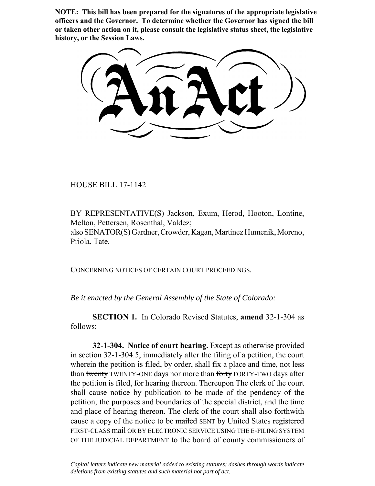**NOTE: This bill has been prepared for the signatures of the appropriate legislative officers and the Governor. To determine whether the Governor has signed the bill or taken other action on it, please consult the legislative status sheet, the legislative history, or the Session Laws.**

HOUSE BILL 17-1142

 $\frac{1}{2}$ 

BY REPRESENTATIVE(S) Jackson, Exum, Herod, Hooton, Lontine, Melton, Pettersen, Rosenthal, Valdez; also SENATOR(S) Gardner, Crowder, Kagan, Martinez Humenik, Moreno, Priola, Tate.

CONCERNING NOTICES OF CERTAIN COURT PROCEEDINGS.

*Be it enacted by the General Assembly of the State of Colorado:*

**SECTION 1.** In Colorado Revised Statutes, **amend** 32-1-304 as follows:

**32-1-304. Notice of court hearing.** Except as otherwise provided in section 32-1-304.5, immediately after the filing of a petition, the court wherein the petition is filed, by order, shall fix a place and time, not less than twenty TWENTY-ONE days nor more than forty FORTY-TWO days after the petition is filed, for hearing thereon. Thereupon The clerk of the court shall cause notice by publication to be made of the pendency of the petition, the purposes and boundaries of the special district, and the time and place of hearing thereon. The clerk of the court shall also forthwith cause a copy of the notice to be mailed SENT by United States registered FIRST-CLASS mail OR BY ELECTRONIC SERVICE USING THE E-FILING SYSTEM OF THE JUDICIAL DEPARTMENT to the board of county commissioners of

*Capital letters indicate new material added to existing statutes; dashes through words indicate deletions from existing statutes and such material not part of act.*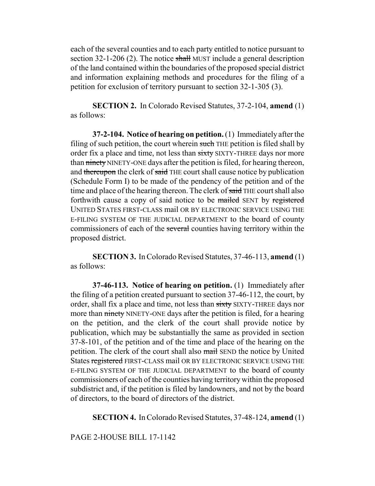each of the several counties and to each party entitled to notice pursuant to section 32-1-206 (2). The notice shall MUST include a general description of the land contained within the boundaries of the proposed special district and information explaining methods and procedures for the filing of a petition for exclusion of territory pursuant to section 32-1-305 (3).

**SECTION 2.** In Colorado Revised Statutes, 37-2-104, **amend** (1) as follows:

**37-2-104. Notice of hearing on petition.** (1) Immediately after the filing of such petition, the court wherein such THE petition is filed shall by order fix a place and time, not less than sixty SIXTY-THREE days nor more than ninety NINETY-ONE days after the petition is filed, for hearing thereon, and thereupon the clerk of said THE court shall cause notice by publication (Schedule Form I) to be made of the pendency of the petition and of the time and place of the hearing thereon. The clerk of said THE court shall also forthwith cause a copy of said notice to be mailed SENT by registered UNITED STATES FIRST-CLASS mail OR BY ELECTRONIC SERVICE USING THE E-FILING SYSTEM OF THE JUDICIAL DEPARTMENT to the board of county commissioners of each of the several counties having territory within the proposed district.

**SECTION 3.** In Colorado Revised Statutes, 37-46-113, **amend** (1) as follows:

**37-46-113. Notice of hearing on petition.** (1) Immediately after the filing of a petition created pursuant to section 37-46-112, the court, by order, shall fix a place and time, not less than sixty SIXTY-THREE days nor more than ninety NINETY-ONE days after the petition is filed, for a hearing on the petition, and the clerk of the court shall provide notice by publication, which may be substantially the same as provided in section 37-8-101, of the petition and of the time and place of the hearing on the petition. The clerk of the court shall also mail SEND the notice by United States registered FIRST-CLASS mail OR BY ELECTRONIC SERVICE USING THE E-FILING SYSTEM OF THE JUDICIAL DEPARTMENT to the board of county commissioners of each of the counties having territory within the proposed subdistrict and, if the petition is filed by landowners, and not by the board of directors, to the board of directors of the district.

**SECTION 4.** In Colorado Revised Statutes, 37-48-124, **amend** (1)

PAGE 2-HOUSE BILL 17-1142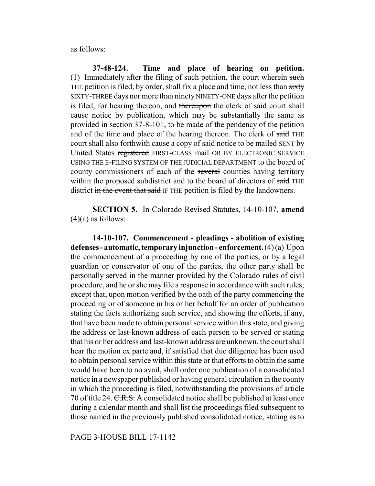as follows:

**37-48-124. Time and place of hearing on petition.** (1) Immediately after the filing of such petition, the court wherein such THE petition is filed, by order, shall fix a place and time, not less than sixty SIXTY-THREE days nor more than ninety NINETY-ONE days after the petition is filed, for hearing thereon, and thereupon the clerk of said court shall cause notice by publication, which may be substantially the same as provided in section 37-8-101, to be made of the pendency of the petition and of the time and place of the hearing thereon. The clerk of said THE court shall also forthwith cause a copy of said notice to be mailed SENT by United States registered FIRST-CLASS mail OR BY ELECTRONIC SERVICE USING THE E-FILING SYSTEM OF THE JUDICIAL DEPARTMENT to the board of county commissioners of each of the several counties having territory within the proposed subdistrict and to the board of directors of said THE district in the event that said IF THE petition is filed by the landowners.

**SECTION 5.** In Colorado Revised Statutes, 14-10-107, **amend**  $(4)(a)$  as follows:

**14-10-107. Commencement - pleadings - abolition of existing defenses - automatic, temporary injunction - enforcement.** (4) (a) Upon the commencement of a proceeding by one of the parties, or by a legal guardian or conservator of one of the parties, the other party shall be personally served in the manner provided by the Colorado rules of civil procedure, and he or she may file a response in accordance with such rules; except that, upon motion verified by the oath of the party commencing the proceeding or of someone in his or her behalf for an order of publication stating the facts authorizing such service, and showing the efforts, if any, that have been made to obtain personal service within this state, and giving the address or last-known address of each person to be served or stating that his or her address and last-known address are unknown, the court shall hear the motion ex parte and, if satisfied that due diligence has been used to obtain personal service within this state or that efforts to obtain the same would have been to no avail, shall order one publication of a consolidated notice in a newspaper published or having general circulation in the county in which the proceeding is filed, notwithstanding the provisions of article 70 of title 24. C.R.S. A consolidated notice shall be published at least once during a calendar month and shall list the proceedings filed subsequent to those named in the previously published consolidated notice, stating as to

PAGE 3-HOUSE BILL 17-1142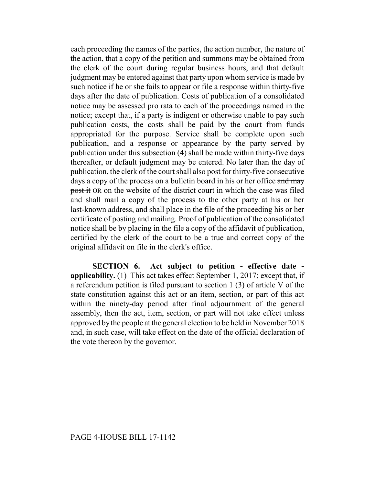each proceeding the names of the parties, the action number, the nature of the action, that a copy of the petition and summons may be obtained from the clerk of the court during regular business hours, and that default judgment may be entered against that party upon whom service is made by such notice if he or she fails to appear or file a response within thirty-five days after the date of publication. Costs of publication of a consolidated notice may be assessed pro rata to each of the proceedings named in the notice; except that, if a party is indigent or otherwise unable to pay such publication costs, the costs shall be paid by the court from funds appropriated for the purpose. Service shall be complete upon such publication, and a response or appearance by the party served by publication under this subsection (4) shall be made within thirty-five days thereafter, or default judgment may be entered. No later than the day of publication, the clerk of the court shall also post for thirty-five consecutive days a copy of the process on a bulletin board in his or her office and may post it OR on the website of the district court in which the case was filed and shall mail a copy of the process to the other party at his or her last-known address, and shall place in the file of the proceeding his or her certificate of posting and mailing. Proof of publication of the consolidated notice shall be by placing in the file a copy of the affidavit of publication, certified by the clerk of the court to be a true and correct copy of the original affidavit on file in the clerk's office.

**SECTION 6. Act subject to petition - effective date applicability.** (1) This act takes effect September 1, 2017; except that, if a referendum petition is filed pursuant to section 1 (3) of article V of the state constitution against this act or an item, section, or part of this act within the ninety-day period after final adjournment of the general assembly, then the act, item, section, or part will not take effect unless approved by the people at the general election to be held in November 2018 and, in such case, will take effect on the date of the official declaration of the vote thereon by the governor.